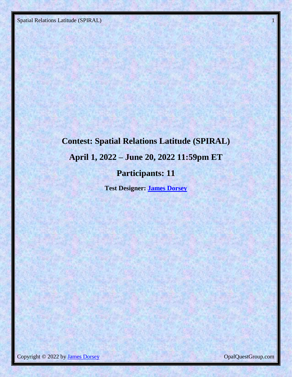# **Contest: Spatial Relations Latitude (SPIRAL) April 1, 2022 – June 20, 2022 11:59pm ET Participants: 11**

**Test Designer: [James Dorsey](mailto:OpalQuestGroup@gmail.com)**

Copyright © 2022 by James Dorsey Copyright © 2022 by James Dorsey CopalQuestGroup.com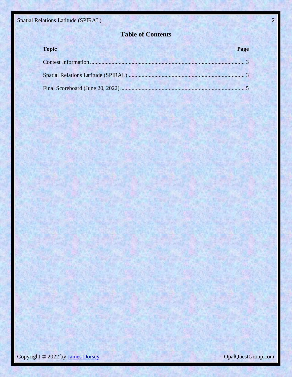### **Table of Contents**

| <b>Topic</b>                     | Page |
|----------------------------------|------|
| Contest Information              |      |
|                                  |      |
| Final Scoreboard (June 20, 2022) |      |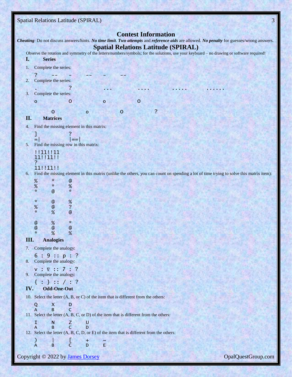<span id="page-2-1"></span><span id="page-2-0"></span>

|     | <b>Spatial Relations Latitude (SPIRAL)</b>                                              |                                |                                      |         |              |         |                            |   |                                                                                                                                                                                         |  | 3                  |
|-----|-----------------------------------------------------------------------------------------|--------------------------------|--------------------------------------|---------|--------------|---------|----------------------------|---|-----------------------------------------------------------------------------------------------------------------------------------------------------------------------------------------|--|--------------------|
|     |                                                                                         |                                |                                      |         |              |         | <b>Contest Information</b> |   |                                                                                                                                                                                         |  |                    |
|     |                                                                                         |                                |                                      |         |              |         |                            |   | Cheating: Do not discuss answers/hints. No time limit. Two attempts and reference aids are allowed. No penalty for guesses/wrong answers.<br><b>Spatial Relations Latitude (SPIRAL)</b> |  |                    |
|     |                                                                                         |                                |                                      |         |              |         |                            |   | Observe the rotation and symmetry of the letters/numbers/symbols; for the solutions, use your keyboard - no drawing or software required!                                               |  |                    |
| I.  | <b>Series</b>                                                                           |                                |                                      |         |              |         |                            |   |                                                                                                                                                                                         |  |                    |
| 1.  | Complete the series:                                                                    |                                |                                      |         |              |         |                            |   |                                                                                                                                                                                         |  |                    |
| 2.  | 7<br>Complete the series:                                                               |                                |                                      |         |              |         |                            |   |                                                                                                                                                                                         |  |                    |
|     |                                                                                         |                                | ?                                    |         |              |         |                            |   |                                                                                                                                                                                         |  |                    |
| 3.  | Complete the series:                                                                    |                                |                                      |         |              |         |                            |   |                                                                                                                                                                                         |  |                    |
|     | o                                                                                       |                                | 0                                    |         | $\mathbf{o}$ |         | $\mathbf 0$                |   |                                                                                                                                                                                         |  |                    |
|     |                                                                                         | $\mathbf O$                    |                                      | $\circ$ |              | $\circ$ |                            | ? |                                                                                                                                                                                         |  |                    |
| II. |                                                                                         | <b>Matrices</b>                |                                      |         |              |         |                            |   |                                                                                                                                                                                         |  |                    |
| 4.  | Find the missing element in this matrix:                                                |                                |                                      |         |              |         |                            |   |                                                                                                                                                                                         |  |                    |
|     | J                                                                                       |                                |                                      |         |              |         |                            |   |                                                                                                                                                                                         |  |                    |
| 5.  | $=$ $\overline{ }$<br>Find the missing row in this matrix:                              |                                | ==                                   |         |              |         |                            |   |                                                                                                                                                                                         |  |                    |
|     | !!11!!11                                                                                |                                |                                      |         |              |         |                            |   |                                                                                                                                                                                         |  |                    |
|     | 11! 11! 11!                                                                             |                                |                                      |         |              |         |                            |   |                                                                                                                                                                                         |  |                    |
|     | 11!!11!!                                                                                |                                |                                      |         |              |         |                            |   |                                                                                                                                                                                         |  |                    |
| 6.  |                                                                                         |                                |                                      |         |              |         |                            |   | Find the missing element in this matrix (unlike the others, you can count on spending a lot of time trying to solve this matrix item):                                                  |  |                    |
|     | %<br>%                                                                                  | $\mathcal{H}$<br>$\mathcal{R}$ | $\mathfrak{a}$<br>%                  |         |              |         |                            |   |                                                                                                                                                                                         |  |                    |
|     | $\mathcal{R}$                                                                           | $\mathfrak{a}$                 | $\mathcal{H}$                        |         |              |         |                            |   |                                                                                                                                                                                         |  |                    |
|     | $\kappa$                                                                                | $\mathbf{Q}$                   | %                                    |         |              |         |                            |   |                                                                                                                                                                                         |  |                    |
|     | %<br>$\kappa$                                                                           | $\mathbf{a}$<br>%              | $\overline{\cdot}$<br>$\mathfrak{a}$ |         |              |         |                            |   |                                                                                                                                                                                         |  |                    |
|     |                                                                                         |                                |                                      |         |              |         |                            |   |                                                                                                                                                                                         |  |                    |
|     | $\mathfrak{a}$<br>$\boldsymbol{\mathcal{Q}}$                                            | %<br>$\mathbf{a}$              | $\alpha$<br>$\mathbf{\mathfrak{a}}$  |         |              |         |                            |   |                                                                                                                                                                                         |  |                    |
|     | $\kappa$                                                                                | %                              | %                                    |         |              |         |                            |   |                                                                                                                                                                                         |  |                    |
| Ш.  |                                                                                         | <b>Analogies</b>               |                                      |         |              |         |                            |   |                                                                                                                                                                                         |  |                    |
|     | 7. Complete the analogy:                                                                |                                |                                      |         |              |         |                            |   |                                                                                                                                                                                         |  |                    |
| 8.  | 6:9::p::?<br>Complete the analogy:                                                      |                                |                                      |         |              |         |                            |   |                                                                                                                                                                                         |  |                    |
|     | $V: \nabla :: 7: ?$                                                                     |                                |                                      |         |              |         |                            |   |                                                                                                                                                                                         |  |                    |
|     | 9. Complete the analogy:                                                                |                                |                                      |         |              |         |                            |   |                                                                                                                                                                                         |  |                    |
|     | ${ : } ' :: ' : ?$                                                                      |                                |                                      |         |              |         |                            |   |                                                                                                                                                                                         |  |                    |
| IV. | Odd-One-Out                                                                             |                                |                                      |         |              |         |                            |   |                                                                                                                                                                                         |  |                    |
|     | 10. Select the letter (A, B, or C) of the item that is different from the others:       | $\times$                       |                                      |         |              |         |                            |   |                                                                                                                                                                                         |  |                    |
|     | Q<br>A                                                                                  | <sub>B</sub>                   | D<br>$\mathsf{C}$                    |         |              |         |                            |   |                                                                                                                                                                                         |  |                    |
|     | 11. Select the letter (A, B, C, or D) of the item that is different from the others:    |                                |                                      |         |              |         |                            |   |                                                                                                                                                                                         |  |                    |
|     | I<br>$\overline{A}$                                                                     | N<br>B                         | Z<br>$\mathsf{C}$                    | U<br>D  |              |         |                            |   |                                                                                                                                                                                         |  |                    |
|     | 12. Select the letter (A, B, C, D, or E) of the item that is different from the others: |                                |                                      |         |              |         |                            |   |                                                                                                                                                                                         |  |                    |
|     | $\mathcal{Y}$<br>$\overline{A}$                                                         | B                              | L<br>$\mathsf{C}$                    | ÷<br>D  | $\sim$<br>E  |         |                            |   |                                                                                                                                                                                         |  |                    |
|     |                                                                                         |                                |                                      |         |              |         |                            |   |                                                                                                                                                                                         |  |                    |
|     | Copyright © 2022 by James Dorsey                                                        |                                |                                      |         |              |         |                            |   |                                                                                                                                                                                         |  | OpalQuestGroup.com |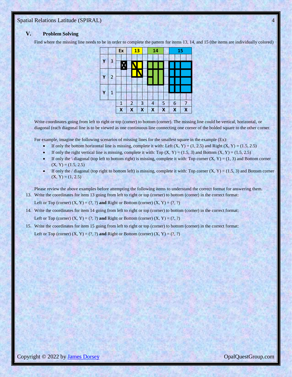#### **V. Problem Solving**

Find where the missing line needs to be in order to complete the pattern for items 13, 14, and 15 (the items are individually colored)

| 3 |   |   |                   |    |                     |    |        |  |        |    |                              |  |                              |                             |
|---|---|---|-------------------|----|---------------------|----|--------|--|--------|----|------------------------------|--|------------------------------|-----------------------------|
|   |   | Δ |                   |    |                     |    |        |  |        |    |                              |  |                              |                             |
|   |   |   |                   |    |                     |    |        |  |        |    |                              |  |                              |                             |
|   |   |   |                   |    |                     |    |        |  |        |    |                              |  |                              |                             |
|   |   |   |                   |    |                     |    |        |  |        |    |                              |  |                              |                             |
| 1 |   |   |                   |    |                     |    |        |  |        |    |                              |  |                              |                             |
|   |   |   |                   |    |                     |    |        |  |        |    |                              |  |                              |                             |
|   |   |   |                   |    |                     |    |        |  |        |    |                              |  |                              |                             |
|   | 2 |   | $\mathbf{1}$<br>X | Ex | $\overline{2}$<br>X | 13 | 3<br>X |  | 4<br>Χ | 14 | 5<br>$\overline{\mathsf{X}}$ |  | 6<br>$\overline{\mathsf{X}}$ | 15<br>7<br>$\boldsymbol{X}$ |

Write coordinates going from left to right or top (corner) to bottom (corner). The missing line could be vertical, horizontal, or diagonal (each diagonal line is to be viewed as one continuous line connecting one corner of the bolded square to the other corner.

For example, imagine the following scenarios of missing lines for the smallest square in the example (Ex):

- If only the bottom horizontal line is missing, complete it with: Left (X, Y) = (1, 2,5) and Right (X, Y) = (1.5, 2.5)
- If only the right vertical line is missing, complete it with: Top  $(X, Y) = (1.5, 3)$  and Bottom  $(X, Y) = (1.5, 2.5)$
- If only the \ diagonal (top left to bottom right) is missing, complete it with: Top corner  $(X, Y) = (1, 3)$  and Bottom corner  $(X, Y) = (1.5, 2.5)$
- If only the / diagonal (top right to bottom left) is missing, complete it with: Top corner  $(X, Y) = (1.5, 3)$  and Bottom corner  $(X, Y) = (1, 2.5)$

Please review the above examples before attempting the following items to understand the correct format for answering them. 13. Write the coordinates for item 13 going from left to right or top (corner) to bottom (corner) in the correct format:

Left or Top (corner)  $(X, Y) = (?, ?)$  and Right or Bottom (corner)  $(X, Y) = (?, ?)$ 

14. Write the coordinates for item 14 going from left to right or top (corner) to bottom (corner) in the correct format: Left or Top (corner)  $(X, Y) = (?, ?)$  and Right or Bottom (corner)  $(X, Y) = (?, ?)$ 

15. Write the coordinates for item 15 going from left to right or top (corner) to bottom (corner) in the correct format: Left or Top (corner)  $(X, Y) = (?, ?)$  and Right or Bottom (corner)  $(X, Y) = (?, ?)$